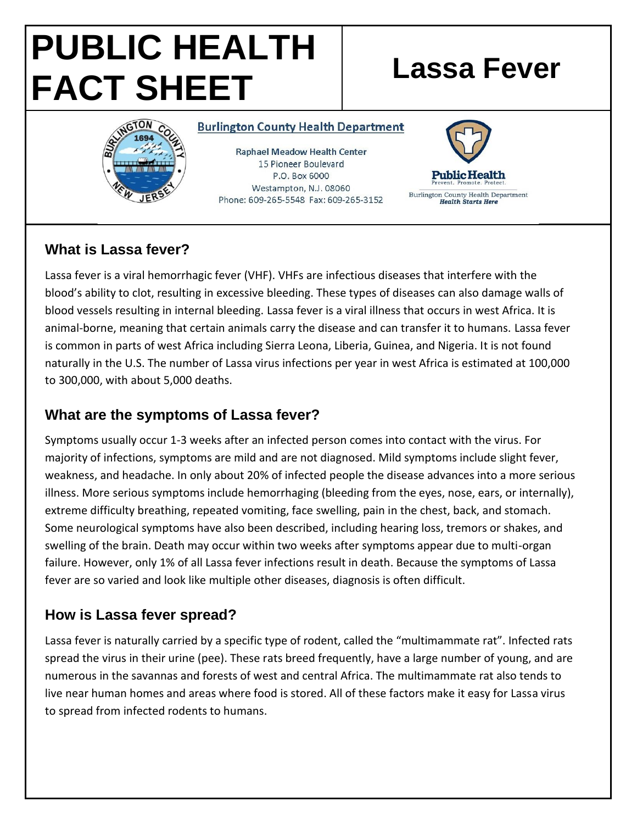# **PUBLIC HEALTH FACT SHEET Lassa Fever**



#### **Burlington County Health Department**

Raphael Meadow Health Center 15 Pioneer Boulevard P.O. Box 6000 Westampton, N.J. 08060 Phone: 609-265-5548 Fax: 609-265-3152



## **What is Lassa fever?**

Lassa fever is a viral hemorrhagic fever (VHF). VHFs are infectious diseases that interfere with the blood's ability to clot, resulting in excessive bleeding. These types of diseases can also damage walls of blood vessels resulting in internal bleeding. Lassa fever is a viral illness that occurs in west Africa. It is animal-borne, meaning that certain animals carry the disease and can transfer it to humans. Lassa fever is common in parts of west Africa including Sierra Leona, Liberia, Guinea, and Nigeria. It is not found naturally in the U.S. The number of Lassa virus infections per year in west Africa is estimated at 100,000 to 300,000, with about 5,000 deaths.

#### **What are the symptoms of Lassa fever?**

Symptoms usually occur 1-3 weeks after an infected person comes into contact with the virus. For majority of infections, symptoms are mild and are not diagnosed. Mild symptoms include slight fever, weakness, and headache. In only about 20% of infected people the disease advances into a more serious illness. More serious symptoms include hemorrhaging (bleeding from the eyes, nose, ears, or internally), extreme difficulty breathing, repeated vomiting, face swelling, pain in the chest, back, and stomach. Some neurological symptoms have also been described, including hearing loss, tremors or shakes, and swelling of the brain. Death may occur within two weeks after symptoms appear due to multi-organ failure. However, only 1% of all Lassa fever infections result in death. Because the symptoms of Lassa fever are so varied and look like multiple other diseases, diagnosis is often difficult.

#### **How is Lassa fever spread?**

Lassa fever is naturally carried by a specific type of rodent, called the "multimammate rat". Infected rats spread the virus in their urine (pee). These rats breed frequently, have a large number of young, and are numerous in the savannas and forests of west and central Africa. The multimammate rat also tends to live near human homes and areas where food is stored. All of these factors make it easy for Lassa virus to spread from infected rodents to humans.